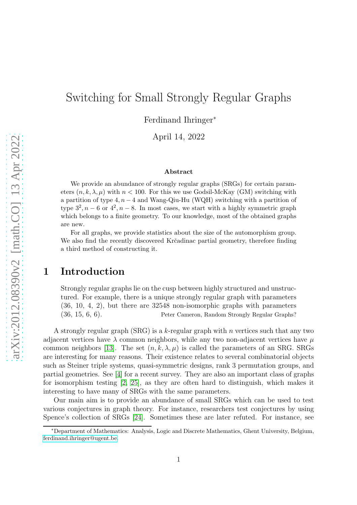# Switching for Small Strongly Regular Graphs

Ferdinand Ihringer<sup>∗</sup>

April 14, 2022

#### Abstract

We provide an abundance of strongly regular graphs (SRGs) for certain parameters  $(n, k, \lambda, \mu)$  with  $n < 100$ . For this we use Godsil-McKay (GM) switching with a partition of type  $4, n-4$  and Wang-Qiu-Hu (WQH) switching with a partition of type  $3^2$ ,  $n-6$  or  $4^2$ ,  $n-8$ . In most cases, we start with a highly symmetric graph which belongs to a finite geometry. To our knowledge, most of the obtained graphs are new.

For all graphs, we provide statistics about the size of the automorphism group. We also find the recently discovered Krčadinac partial geometry, therefore finding a third method of constructing it.

### 1 Introduction

Strongly regular graphs lie on the cusp between highly structured and unstructured. For example, there is a unique strongly regular graph with parameters (36, 10, 4, 2), but there are 32548 non-isomorphic graphs with parameters (36, 15, 6, 6). Peter Cameron, Random Strongly Regular Graphs?

A strongly regular graph (SRG) is a k-regular graph with n vertices such that any two adjacent vertices have  $\lambda$  common neighbors, while any two non-adjacent vertices have  $\mu$ common neighbors [\[13\]](#page-16-0). The set  $(n, k, \lambda, \mu)$  is called the parameters of an SRG. SRGs are interesting for many reasons. Their existence relates to several combinatorial objects such as Steiner triple systems, quasi-symmetric designs, rank 3 permutation groups, and partial geometries. See [\[4\]](#page-16-1) for a recent survey. They are also an important class of graphs for isomorphism testing [\[2,](#page-16-2) [25\]](#page-17-0), as they are often hard to distinguish, which makes it interesting to have many of SRGs with the same parameters.

Our main aim is to provide an abundance of small SRGs which can be used to test various conjectures in graph theory. For instance, researchers test conjectures by using Spence's collection of SRGs [\[24\]](#page-17-1). Sometimes these are later refuted. For instance, see

<sup>∗</sup>Department of Mathematics: Analysis, Logic and Discrete Mathematics, Ghent University, Belgium, [ferdinand.ihringer@ugent.be.](mailto:ferdinand.ihringer@ugent.be)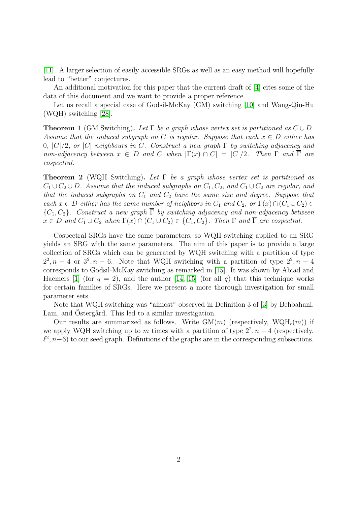[\[11\]](#page-16-3). A larger selection of easily accessible SRGs as well as an easy method will hopefully lead to "better" conjectures.

An additional motivation for this paper that the current draft of [\[4\]](#page-16-1) cites some of the data of this document and we want to provide a proper reference.

Let us recall a special case of Godsil-McKay (GM) switching [\[10\]](#page-16-4) and Wang-Qiu-Hu (WQH) switching [\[28\]](#page-17-2).

<span id="page-1-0"></span>**Theorem 1** (GM Switching). Let  $\Gamma$  be a graph whose vertex set is partitioned as  $C \cup D$ . Assume that the induced subgraph on C is regular. Suppose that each  $x \in D$  either has 0,  $|C|/2$ , or  $|C|$  neighbours in C. Construct a new graph  $\overline{\Gamma}$  by switching adjacency and non-adjacency between  $x \in D$  and C when  $|\Gamma(x) \cap C| = |C|/2$ . Then  $\Gamma$  and  $\overline{\Gamma}$  are cospectral.

<span id="page-1-1"></span>**Theorem 2** (WQH Switching). Let  $\Gamma$  be a graph whose vertex set is partitioned as  $C_1 \cup C_2 \cup D$ . Assume that the induced subgraphs on  $C_1, C_2$ , and  $C_1 \cup C_2$  are regular, and that the induced subgraphs on  $C_1$  and  $C_2$  have the same size and degree. Suppose that each  $x \in D$  either has the same number of neighbors in  $C_1$  and  $C_2$ , or  $\Gamma(x) \cap (C_1 \cup C_2) \in$  ${C_1, C_2}$ . Construct a new graph  $\overline{\Gamma}$  by switching adjacency and non-adjacency between  $x \in D$  and  $C_1 \cup C_2$  when  $\Gamma(x) \cap (C_1 \cup C_2) \in \{C_1, C_2\}$ . Then  $\Gamma$  and  $\overline{\Gamma}$  are cospectral.

Cospectral SRGs have the same parameters, so WQH switching applied to an SRG yields an SRG with the same parameters. The aim of this paper is to provide a large collection of SRGs which can be generated by WQH switching with a partition of type  $2^2$ ,  $n-4$  or  $3^2$ ,  $n-6$ . Note that WQH switching with a partition of type  $2^2$ ,  $n-4$ corresponds to Godsil-McKay switching as remarked in [\[15\]](#page-17-3). It was shown by Abiad and Haemers [\[1\]](#page-16-5) (for  $q = 2$ ), and the author [\[14,](#page-16-6) [15\]](#page-17-3) (for all q) that this technique works for certain families of SRGs. Here we present a more thorough investigation for small parameter sets.

Note that WQH switching was "almost" observed in Definition 3 of [\[3\]](#page-16-7) by Behbahani, Lam, and Ostergård. This led to a similar investigation.

Our results are summarized as follows. Write  $GM(m)$  (respectively,  $WQH_{\ell}(m)$ ) if we apply WQH switching up to m times with a partition of type  $2^2$ ,  $n-4$  (respectively,  $\ell^2$ ,  $n-6$ ) to our seed graph. Definitions of the graphs are in the corresponding subsections.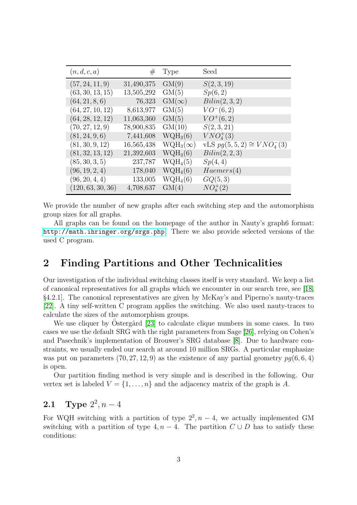| (n,d,c,a)         | $^{\#}$    | Type            | Seed                             |
|-------------------|------------|-----------------|----------------------------------|
| (57, 24, 11, 9)   | 31,490,375 | GM(9)           | S(2,3,19)                        |
| (63, 30, 13, 15)  | 13,505,292 | GM(5)           | Sp(6,2)                          |
| (64, 21, 8, 6)    | 76,323     | $GM(\infty)$    | Bilin(2,3,2)                     |
| (64, 27, 10, 12)  | 8,613,977  | GM(5)           | $VO^{-}(6,2)$                    |
| (64, 28, 12, 12)  | 11,063,360 | GM(5)           | $VO^+(6,2)$                      |
| (70, 27, 12, 9)   | 78,900,835 | GM(10)          | S(2,3,21)                        |
| (81, 24, 9, 6)    | 7,441,608  | $WQH_3(6)$      | $VNO^{+}_{4}(3)$                 |
| (81, 30, 9, 12)   | 16,565,438 | $WQH_3(\infty)$ | vLS $pg(5, 5, 2) \cong VNO4-(3)$ |
| (81, 32, 13, 12)  | 21,392,603 | $WQH_3(6)$      | Bilin(2,2,3)                     |
| (85, 30, 3, 5)    | 237,787    | $WQH_4(5)$      | Sp(4,4)                          |
| (96, 19, 2, 4)    | 178,040    | $WQH_4(6)$      | Haemers(4)                       |
| (96, 20, 4, 4)    | 133,005    | $WQH_4(6)$      | GQ(5,3)                          |
| (120, 63, 30, 36) | 4,708,637  | GM(4)           | $NO_{8}^{+}(2)$                  |

We provide the number of new graphs after each switching step and the automorphism group sizes for all graphs.

All graphs can be found on the homepage of the author in Nauty's graph6 format: <http://math.ihringer.org/srgs.php>. There we also provide selected versions of the used C program.

### 2 Finding Partitions and Other Technicalities

Our investigation of the individual switching classes itself is very standard. We keep a list of canonical representatives for all graphs which we encounter in our search tree, see [\[18,](#page-17-4) §4.2.1]. The canonical representatives are given by McKay's and Piperno's nauty-traces [\[22\]](#page-17-5). A tiny self-written C program applies the switching. We also used nauty-traces to calculate the sizes of the automorphism groups.

We use cliquer by Ostergård [\[23\]](#page-17-6) to calculate clique numbers in some cases. In two cases we use the default SRG with the right parameters from Sage [\[26\]](#page-17-7), relying on Cohen's and Pasechnik's implementation of Brouwer's SRG database [\[8\]](#page-16-8). Due to hardware constraints, we usually ended our search at around 10 million SRGs. A particular emphasize was put on parameters  $(70, 27, 12, 9)$  as the existence of any partial geometry  $pq(6, 6, 4)$ is open.

Our partition finding method is very simple and is described in the following. Our vertex set is labeled  $V = \{1, \ldots, n\}$  and the adjacency matrix of the graph is A.

### **2.1** Type  $2^2, n-4$

For WQH switching with a partition of type  $2^2$ ,  $n-4$ , we actually implemented GM switching with a partition of type  $4, n-4$ . The partition  $C \cup D$  has to satisfy these conditions: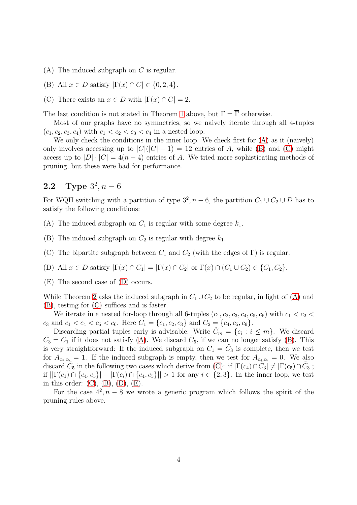- <span id="page-3-1"></span><span id="page-3-0"></span>(A) The induced subgraph on  $C$  is regular.
- <span id="page-3-2"></span>(B) All  $x \in D$  satisfy  $|\Gamma(x) \cap C| \in \{0, 2, 4\}.$
- (C) There exists an  $x \in D$  with  $|\Gamma(x) \cap C| = 2$ .

The last condition is not stated in Theorem [1](#page-1-0) above, but  $\Gamma = \overline{\Gamma}$  otherwise.

Most of our graphs have no symmetries, so we naively iterate through all 4-tuples  $(c_1, c_2, c_3, c_4)$  with  $c_1 < c_2 < c_3 < c_4$  in a nested loop.

We only check the conditions in the inner loop. We check first for [\(A\)](#page-3-0) as it (naively) only involves accessing up to  $|C|(|C|-1) = 12$  entries of A, while [\(B\)](#page-3-1) and [\(C\)](#page-3-2) might access up to  $|D| \cdot |C| = 4(n-4)$  entries of A. We tried more sophisticating methods of pruning, but these were bad for performance.

### **2.2** Type  $3^2, n-6$

For WQH switching with a partition of type  $3^2$ ,  $n-6$ , the partition  $C_1 \cup C_2 \cup D$  has to satisfy the following conditions:

<span id="page-3-5"></span><span id="page-3-4"></span>(A) The induced subgraph on  $C_1$  is regular with some degree  $k_1$ .

<span id="page-3-6"></span>(B) The induced subgraph on  $C_2$  is regular with degree  $k_1$ .

<span id="page-3-3"></span>(C) The bipartite subgraph between  $C_1$  and  $C_2$  (with the edges of  $\Gamma$ ) is regular.

<span id="page-3-7"></span>(D) All  $x \in D$  satisfy  $|\Gamma(x) \cap C_1| = |\Gamma(x) \cap C_2|$  or  $\Gamma(x) \cap (C_1 \cup C_2) \in \{C_1, C_2\}.$ 

(E) The second case of [\(D\)](#page-3-3) occurs.

While Theorem [2](#page-1-1) asks the induced subgraph in  $C_1 \cup C_2$  to be regular, in light of [\(A\)](#page-3-4) and [\(B\)](#page-3-5), testing for [\(C\)](#page-3-6) suffices and is faster.

We iterate in a nested for-loop through all 6-tuples  $(c_1, c_2, c_3, c_4, c_5, c_6)$  with  $c_1 < c_2 <$  $c_3$  and  $c_1 < c_4 < c_5 < c_6$ . Here  $C_1 = \{c_1, c_2, c_3\}$  and  $C_2 = \{c_4, c_5, c_6\}$ .

Discarding partial tuples early is advisable: Write  $\tilde{C}_m = \{c_i : i \leq m\}$ . We discard  $\tilde{C}_3 = C_1$  if it does not satisfy [\(A\)](#page-3-4). We discard  $\tilde{C}_5$ , if we can no longer satisfy [\(B\)](#page-3-5). This is very straightforward: If the induced subgraph on  $C_1 = \tilde{C}_3$  is complete, then we test for  $A_{c_4,c_5} = 1$ . If the induced subgraph is empty, then we test for  $A_{c_4,c_5} = 0$ . We also discard  $\tilde{C}_5$  in the following two cases which derive from [\(C\)](#page-3-6): if  $|\Gamma(c_4) \cap \tilde{C}_3| \neq |\Gamma(c_5) \cap \tilde{C}_3|$ ; if  $||\Gamma(c_1) \cap \{c_4, c_5\}| - |\Gamma(c_i) \cap \{c_4, c_5\}|| > 1$  for any  $i \in \{2, 3\}$ . In the inner loop, we test in this order:  $(C)$ ,  $(B)$ ,  $(D)$ ,  $(E)$ .

For the case  $4^2$ ,  $n-8$  we wrote a generic program which follows the spirit of the pruning rules above.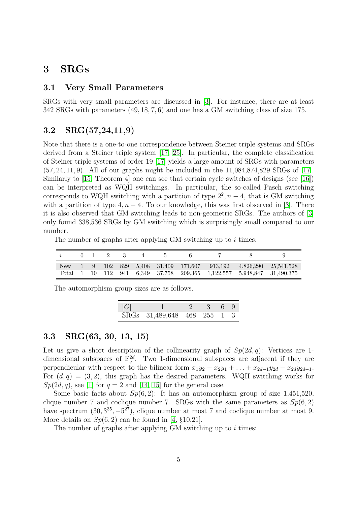#### 3 SRGs

#### 3.1 Very Small Parameters

SRGs with very small parameters are discussed in [\[3\]](#page-16-7). For instance, there are at least 342 SRGs with parameters (49, 18, 7, 6) and one has a GM switching class of size 175.

#### 3.2 SRG(57,24,11,9)

Note that there is a one-to-one correspondence between Steiner triple systems and SRGs derived from a Steiner triple system [\[17,](#page-17-8) [25\]](#page-17-0). In particular, the complete classification of Steiner triple systems of order 19 [\[17\]](#page-17-8) yields a large amount of SRGs with parameters (57, 24, 11, 9). All of our graphs might be included in the 11,084,874,829 SRGs of [\[17\]](#page-17-8). Similarly to [\[15,](#page-17-3) Theorem 4] one can see that certain cycle switches of designs (see [\[16\]](#page-17-9)) can be interpreted as WQH switchings. In particular, the so-called Pasch switching corresponds to WQH switching with a partition of type  $2^2$ ,  $n-4$ , that is GM switching with a partition of type 4,  $n-4$ . To our knowledge, this was first observed in [\[3\]](#page-16-7). There it is also observed that GM switching leads to non-geometric SRGs. The authors of [\[3\]](#page-16-7) only found 338,536 SRGs by GM switching which is surprisingly small compared to our number.

The number of graphs after applying  $GM$  switching up to i times:

|     |  | $0 \quad 1 \quad 2 \quad 3$ |  |  |  |                                                                                                                       |
|-----|--|-----------------------------|--|--|--|-----------------------------------------------------------------------------------------------------------------------|
| New |  |                             |  |  |  | $1 \quad 9 \quad 102 \quad 829 \quad 5.408 \quad 31.409 \quad 171.607 \quad 913.192 \quad 4.826.290 \quad 25.541.528$ |
|     |  |                             |  |  |  | Total 1 10 112 941 6.349 37.758 209.365 1.122.557 5.948.847 31.490.375                                                |

The automorphism group sizes are as follows.

| G |                             | 2 3 6 9 |  |  |
|---|-----------------------------|---------|--|--|
|   | SRGs 31,489,648 468 255 1 3 |         |  |  |

#### <span id="page-4-0"></span>3.3 SRG(63, 30, 13, 15)

Let us give a short description of the collinearity graph of  $Sp(2d, q)$ : Vertices are 1dimensional subspaces of  $\mathbb{F}_q^{2d}$ . Two 1-dimensional subspaces are adjacent if they are perpendicular with respect to the bilinear form  $x_1y_2 - x_2y_1 + \ldots + x_{2d-1}y_{2d} - x_{2d}y_{2d-1}$ . For  $(d, q) = (3, 2)$ , this graph has the desired parameters. WQH switching works for  $Sp(2d, q)$ , see [\[1\]](#page-16-5) for  $q = 2$  and [\[14,](#page-16-6) [15\]](#page-17-3) for the general case.

Some basic facts about  $Sp(6,2)$ : It has an automorphism group of size 1,451,520, clique number 7 and coclique number 7. SRGs with the same parameters as  $Sp(6,2)$ have spectrum  $(30, 3^{35}, -5^{27})$ , clique number at most 7 and coclique number at most 9. More details on  $Sp(6, 2)$  can be found in [\[4,](#page-16-1) §10.21].

The number of graphs after applying GM switching up to  $i$  times: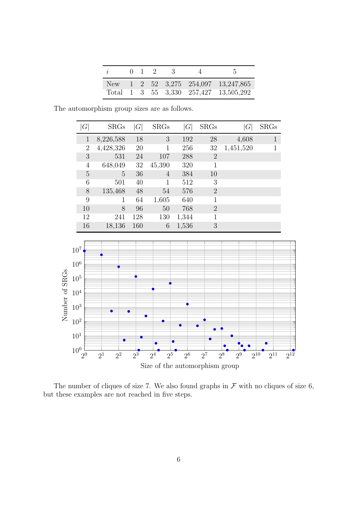| i |  | $0 \t1 \t2$ | - 3 | $\Delta$                              |
|---|--|-------------|-----|---------------------------------------|
|   |  |             |     | New 1 2 52 3,275 254,097 13,247,865   |
|   |  |             |     | Total 1 3 55 3,330 257,427 13,505,292 |

The automorphism group sizes are as follows.

| $G\$           | <b>SRGs</b> | G   | <b>SRGs</b>  | G     | <b>SRGs</b>    | $\,G$     | <b>SRGs</b>  |
|----------------|-------------|-----|--------------|-------|----------------|-----------|--------------|
| $\mathbf{1}$   | 8,226,588   | 18  | 3            | 192   | 28             | 4,608     | $\mathbf{1}$ |
| $\overline{2}$ | 4,428,326   | 20  | $\mathbf{1}$ | 256   | 32             | 1,451,520 | 1            |
| 3              | 531         | 24  | 107          | 288   | $\overline{2}$ |           |              |
| 4              | 648,049     | 32  | 45,390       | 320   | 1              |           |              |
| 5              | 5           | 36  | 4            | 384   | 10             |           |              |
| 6              | 501         | 40  | 1            | 512   | 3              |           |              |
| 8              | 135,468     | 48  | 54           | 576   | $\overline{2}$ |           |              |
| 9              |             | 64  | 1,605        | 640   | $\mathbf 1$    |           |              |
| 10             | 8           | 96  | 50           | 768   | $\overline{2}$ |           |              |
| 12             | 241         | 128 | 130          | 1,344 |                |           |              |
| 16             | 18,136      | 160 | 6            | 1,536 | 3              |           |              |



The number of cliques of size 7. We also found graphs in  $\mathcal F$  with no cliques of size 6, but these examples are not reached in five steps.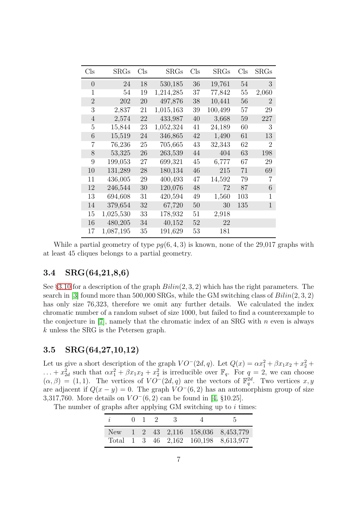| $_{\rm Cls}$   | $\rm SRGs$ | $\mathrm{Cls}$ | $\rm SRGs$ | $_{\rm Cls}$ | SRGs    | $_{\rm Cls}$ | <b>SRGs</b>    |
|----------------|------------|----------------|------------|--------------|---------|--------------|----------------|
| $\theta$       | 24         | 18             | 530,185    | 36           | 19,761  | 54           | 3              |
| 1              | 54         | 19             | 1,214,285  | 37           | 77,842  | 55           | 2,060          |
| $\overline{2}$ | 202        | 20             | 497,876    | 38           | 10,441  | 56           | $\overline{2}$ |
| 3              | 2,837      | 21             | 1,015,163  | 39           | 100,499 | 57           | 29             |
| 4              | 2,574      | 22             | 433,987    | 40           | 3,668   | 59           | 227            |
| 5              | 15,844     | 23             | 1,052,324  | 41           | 24,189  | 60           | 3              |
| 6              | 15,519     | 24             | 346,865    | 42           | 1,490   | 61           | 13             |
| 7              | 76,236     | 25             | 705,665    | 43           | 32,343  | 62           | 2              |
| 8              | 53,325     | 26             | 263,539    | 44           | 404     | 63           | 198            |
| 9              | 199,053    | 27             | 699,321    | 45           | 6,777   | 67           | 29             |
| 10             | 131,289    | 28             | 180,134    | 46           | 215     | 71           | 69             |
| 11             | 436,005    | 29             | 400,493    | 47           | 14,592  | 79           | 7              |
| 12             | 246,544    | 30             | 120,076    | 48           | 72      | 87           | 6              |
| 13             | 694,608    | 31             | 420,594    | 49           | 1,560   | 103          | 1              |
| 14             | 379,654    | 32             | 67,720     | 50           | 30      | 135          | 1              |
| 15             | 1,025,530  | 33             | 178,932    | 51           | 2,918   |              |                |
| 16             | 480,205    | 34             | 40,152     | 52           | 22      |              |                |
| 17             | 1,087,195  | 35             | 191,629    | 53           | 181     |              |                |

While a partial geometry of type  $pg(6, 4, 3)$  is known, none of the 29,017 graphs with at least 45 cliques belongs to a partial geometry.

#### 3.4 SRG(64,21,8,6)

See §[3.10](#page-11-0) for a description of the graph  $Bilin(2, 3, 2)$  which has the right parameters. The search in [\[3\]](#page-16-7) found more than 500,000 SRGs, while the GM switching class of  $Bilin(2, 3, 2)$ has only size 76,323, therefore we omit any further details. We calculated the index chromatic number of a random subset of size 1000, but failed to find a counterexample to the conjecture in  $[7]$ , namely that the chromatic index of an SRG with n even is always k unless the SRG is the Petersen graph.

#### 3.5 SRG(64,27,10,12)

Let us give a short description of the graph  $VO^-(2d, q)$ . Let  $Q(x) = \alpha x_1^2 + \beta x_1 x_2 + x_2^2 + \beta x_1 x_3 + \beta x_2 x_4$  $\ldots + x_{2d}^2$  such that  $\alpha x_1^2 + \beta x_1 x_2 + x_2^2$  is irreducible over  $\mathbb{F}_q$ . For  $q = 2$ , we can choose  $(\alpha, \beta) = (1, 1)$ . The vertices of  $VO^-(2d, q)$  are the vectors of  $\mathbb{F}_q^{2d}$ . Two vertices x, y are adjacent if  $Q(x - y) = 0$ . The graph  $VO^-(6, 2)$  has an automorphism group of size 3,317,760. More details on  $VO^-(6, 2)$  can be found in [\[4,](#page-16-1) §10.25].

| $\dot{i}$ | $0 \quad 1 \quad 2$ | - 3 - |                                      |
|-----------|---------------------|-------|--------------------------------------|
| New \,    |                     |       | 1 2 43 2,116 158,036 8,453,779       |
|           |                     |       | Total 1 3 46 2,162 160,198 8,613,977 |

The number of graphs after applying  $GM$  switching up to i times: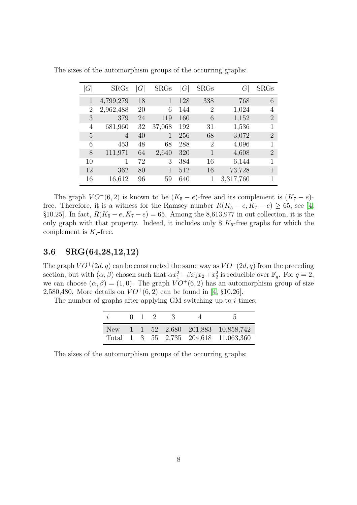| $'G_1$         | <b>SRGs</b> | G  | $\rm SRGs$ | G   | SRGs           | G         | <b>SRGs</b>    |
|----------------|-------------|----|------------|-----|----------------|-----------|----------------|
| 1              | 4,799,279   | 18 | 1          | 128 | 338            | 768       | 6              |
| $\overline{2}$ | 2,962,488   | 20 | 6          | 144 | $\overline{2}$ | 1,024     | 4              |
| 3              | 379         | 24 | 119        | 160 | 6              | 1,152     | $\overline{2}$ |
| 4              | 681,960     | 32 | 37,068     | 192 | 31             | 1,536     | 1              |
| 5              | 4           | 40 | 1          | 256 | 68             | 3,072     | $\overline{2}$ |
| 6              | 453         | 48 | 68         | 288 | $\overline{2}$ | 4,096     | 1              |
| 8              | 111,971     | 64 | 2,640      | 320 | 1              | 4,608     | $\overline{2}$ |
| 10             | 1           | 72 | 3          | 384 | 16             | 6,144     | 1              |
| 12             | 362         | 80 | 1          | 512 | 16             | 73,728    | 1              |
| 16             | 16,612      | 96 | 59         | 640 |                | 3,317,760 |                |

The sizes of the automorphism groups of the occurring graphs:

The graph  $VO^-(6, 2)$  is known to be  $(K_5 - e)$ -free and its complement is  $(K_7 - e)$ free. Therefore, it is a witness for the Ramsey number  $R(K_5 - e, K_7 - e) \geq 65$ , see [\[4,](#page-16-1) §10.25]. In fact,  $R(K_5 - e, K_7 - e) = 65$ . Among the 8,613,977 in out collection, it is the only graph with that property. Indeed, it includes only  $8K_5$ -free graphs for which the complement is  $K_7$ -free.

#### 3.6 SRG(64,28,12,12)

The graph  $VO^+(2d, q)$  can be constructed the same way as  $VO^-(2d, q)$  from the preceding section, but with  $(\alpha, \beta)$  chosen such that  $\alpha x_1^2 + \beta x_1 x_2 + x_2^2$  is reducible over  $\mathbb{F}_q$ . For  $q = 2$ , we can choose  $(\alpha, \beta) = (1, 0)$ . The graph  $VO^+(6, 2)$  has an automorphism group of size 2,580,480. More details on  $VO^+(6, 2)$  can be found in [\[4,](#page-16-1) §10.26].

The number of graphs after applying  $GM$  switching up to  $i$  times:

| i |  | $0 \t1 \t2$ | $\mathcal{A}$ | $\mathbf{A}$                          |
|---|--|-------------|---------------|---------------------------------------|
|   |  |             |               | New 1 1 52 2,680 201,883 10,858,742   |
|   |  |             |               | Total 1 3 55 2,735 204,618 11,063,360 |

The sizes of the automorphism groups of the occurring graphs: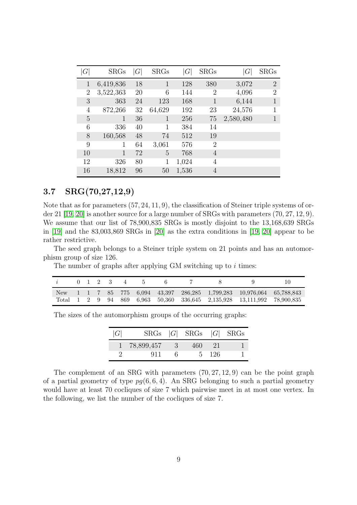| $\,G\,$        | <b>SRGs</b>    | G  | SRGs           | G     | <b>SRGs</b>    | $\, G \,$ | <b>SRGs</b>    |
|----------------|----------------|----|----------------|-------|----------------|-----------|----------------|
| 1              | 6,419,836      | 18 | $\overline{1}$ | 128   | 380            | 3,072     | $\overline{2}$ |
| $\overline{2}$ | 3,522,363      | 20 | 6              | 144   | $\overline{2}$ | 4,096     | 2              |
| 3              | 363            | 24 | 123            | 168   | 1              | 6,144     |                |
| 4              | 872,266        | 32 | 64,629         | 192   | 23             | 24,576    |                |
| 5              | 1              | 36 | 1              | 256   | 75             | 2,580,480 |                |
| 6              | 336            | 40 |                | 384   | 14             |           |                |
| 8              | 160,568        | 48 | 74             | 512   | 19             |           |                |
| 9              |                | 64 | 3,061          | 576   | $\overline{2}$ |           |                |
| 10             | $\overline{1}$ | 72 | 5              | 768   | $\overline{4}$ |           |                |
| 12             | 326            | 80 | 1              | 1,024 | 4              |           |                |
| 16             | 18,812         | 96 | 50             | 1,536 | 4              |           |                |

#### 3.7 SRG(70,27,12,9)

Note that as for parameters (57, 24, 11, 9), the classification of Steiner triple systems of order 21 [\[19,](#page-17-10) [20\]](#page-17-11) is another source for a large number of SRGs with parameters (70, 27, 12, 9). We assume that our list of 78,900,835 SRGs is mostly disjoint to the 13,168,639 SRGs in [\[19\]](#page-17-10) and the 83,003,869 SRGs in [\[20\]](#page-17-11) as the extra conditions in [\[19,](#page-17-10) [20\]](#page-17-11) appear to be rather restrictive.

The seed graph belongs to a Steiner triple system on 21 points and has an automorphism group of size 126.

The number of graphs after applying GM switching up to  $i$  times:

|     |  |  | $0 \t1 \t2 \t3 \t4 \t5$ |  |                                                                                                                                 |  |
|-----|--|--|-------------------------|--|---------------------------------------------------------------------------------------------------------------------------------|--|
| New |  |  |                         |  | $1 \quad 1 \quad 7 \quad 85 \quad 775 \quad 6.094 \quad 43.397 \quad 286.285 \quad 1.799.283 \quad 10.976.064 \quad 65.788.843$ |  |
|     |  |  |                         |  | Total 1 2 9 94 869 6.963 50.360 336.645 2.135.928 13.111.992 78.900.835                                                         |  |

The sizes of the automorphism groups of the occurring graphs:

| G |              |                           | $SRGs$  G  $SRGs$  G  $SRGs$ |       |  |
|---|--------------|---------------------------|------------------------------|-------|--|
|   | 1 78,899,457 | $\overline{\phantom{a}3}$ | 460                          | - 21  |  |
|   | 911          |                           |                              | 5 126 |  |

The complement of an SRG with parameters (70, 27, 12, 9) can be the point graph of a partial geometry of type  $pg(6, 6, 4)$ . An SRG belonging to such a partial geometry would have at least 70 cocliques of size 7 which pairwise meet in at most one vertex. In the following, we list the number of the cocliques of size 7.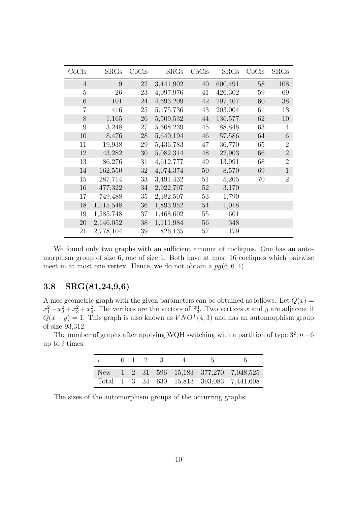| CoCls          | SRGs      | CoCls | SRGs      | CoCls | SRGs    | CoCls | <b>SRGs</b>    |
|----------------|-----------|-------|-----------|-------|---------|-------|----------------|
| $\overline{4}$ | 9         | 22    | 3,441,902 | 40    | 600,491 | 58    | 108            |
| 5              | 26        | 23    | 4,097,976 | 41    | 426,302 | 59    | 69             |
| 6              | 101       | 24    | 4,693,209 | 42    | 297,407 | 60    | 38             |
| 7              | 416       | 25    | 5,175,736 | 43    | 203,004 | 61    | 13             |
| 8              | 1,165     | 26    | 5,509,532 | 44    | 136,577 | 62    | 10             |
| 9              | 3,248     | 27    | 5,668,239 | 45    | 88,848  | 63    | $\overline{4}$ |
| 10             | 8,476     | 28    | 5,640,194 | 46    | 57,586  | 64    | 6              |
| 11             | 19,938    | 29    | 5,436,783 | 47    | 36,770  | 65    | 2              |
| 12             | 43,282    | 30    | 5,082,314 | 48    | 22,903  | 66    | $\overline{2}$ |
| 13             | 86,276    | 31    | 4,612,777 | 49    | 13,991  | 68    | $\overline{2}$ |
| 14             | 162,550   | 32    | 4,074,374 | 50    | 8,570   | 69    | $\mathbf{1}$   |
| 15             | 287,714   | 33    | 3,491,432 | 51    | 5,205   | 70    | $\overline{2}$ |
| 16             | 477,322   | 34    | 2,922,707 | 52    | 3,170   |       |                |
| 17             | 749,488   | 35    | 2,382,507 | 53    | 1,790   |       |                |
| 18             | 1,115,548 | 36    | 1,893,952 | 54    | 1,018   |       |                |
| 19             | 1,585,748 | 37    | 1,468,602 | 55    | 601     |       |                |
| 20             | 2,146,052 | 38    | 1,111,984 | 56    | 348     |       |                |
| 21             | 2,778,104 | 39    | 826,135   | 57    | 179     |       |                |

We found only two graphs with an sufficient amount of cocliques. One has an automorphism group of size 6, one of size 1. Both have at most 16 cocliques which pairwise meet in at most one vertex. Hence, we do not obtain a  $pg(6, 6, 4)$ .

#### 3.8 SRG(81,24,9,6)

A nice geometric graph with the given parameters can be obtained as follows. Let  $Q(x) =$  $x_1^2 - x_2^2 + x_3^2 + x_4^2$ . The vertices are the vectors of  $\mathbb{F}_3^4$ . Two vertices x and y are adjacent if  $Q(x - y) = 1$ . This graph is also known as  $VNO+(4, 3)$  and has an automorphism group of size 93,312.

The number of graphs after applying WQH switching with a partition of type  $3^2$ ,  $n-6$ up to  $i$  times:

| i |  | $0 \t1 \t2 \t3$ |  | $\Delta$ |                                           |
|---|--|-----------------|--|----------|-------------------------------------------|
|   |  |                 |  |          | New 1 2 31 596 15,183 377,270 7,048,525   |
|   |  |                 |  |          | Total 1 3 34 630 15,813 393,083 7,441,608 |

The sizes of the automorphism groups of the occurring graphs: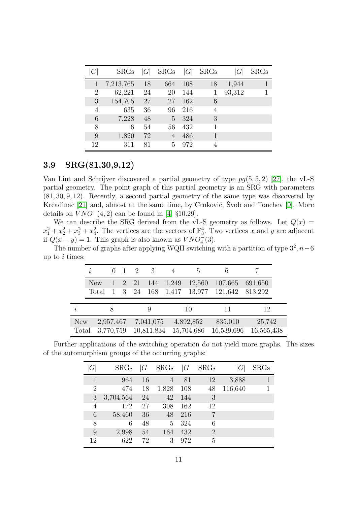| G  | <b>SRGs</b> | G  | <b>SRGs</b> | G   | <b>SRGs</b> | G      | <b>SRGs</b> |
|----|-------------|----|-------------|-----|-------------|--------|-------------|
|    | 7,213,765   | 18 | 664         | 108 | 18          | 1,944  |             |
| 2  | 62,221      | 24 | 20          | 144 |             | 93,312 | 1           |
| 3  | 154,705     | 27 | 27          | 162 | 6           |        |             |
| 4  | 635         | 36 | 96          | 216 | 4           |        |             |
| 6  | 7,228       | 48 | 5           | 324 | 3           |        |             |
| 8  | 6           | 54 | 56          | 432 |             |        |             |
| 9  | 1,820       | 72 |             | 486 | 1           |        |             |
| 12 | 311         | 81 | 5           | 972 | 4           |        |             |

#### 3.9 SRG(81,30,9,12)

Van Lint and Schrijver discovered a partial geometry of type  $pg(5, 5, 2)$  [\[27\]](#page-17-12), the vL-S partial geometry. The point graph of this partial geometry is an SRG with parameters (81, 30, 9, 12). Recently, a second partial geometry of the same type was discovered by Krčadinac  $[21]$  and, almost at the same time, by Crnković, Svob and Tonchev  $[9]$ . More details on  $VNO^{-}(4, 2)$  can be found in [\[4,](#page-16-1) §10.29].

We can describe the SRG derived from the vL-S geometry as follows. Let  $Q(x)$  =  $x_1^2 + x_2^2 + x_3^2 + x_4^2$ . The vertices are the vectors of  $\mathbb{F}_3^4$ . Two vertices x and y are adjacent if  $Q(x - y) = 1$ . This graph is also known as  $VNO<sub>4</sub><sup>2</sup>(3)$ .

The number of graphs after applying WQH switching with a partition of type  $3^2$ ,  $n-6$ up to  $i$  times:

|           | $\dot{i}$    |           |                   | 2          | 3          |                | .5               | 6                  |                    |  |
|-----------|--------------|-----------|-------------------|------------|------------|----------------|------------------|--------------------|--------------------|--|
|           | New<br>Total |           | $1\quad 2$<br>- 3 | 21<br>- 24 | 144<br>168 | 1,249<br>1,417 | 12,560<br>13,977 | 107,665<br>121,642 | 691,650<br>813,292 |  |
|           |              |           |                   |            |            |                |                  |                    |                    |  |
| $\dot{i}$ |              |           |                   |            |            |                | 10               | 11                 | 12                 |  |
| New       |              | 2,957,467 |                   |            | 7,041,075  |                | 4,892,852        | 835,010            | 25,742             |  |
| Total     |              | 3,770,759 |                   |            | 10,811,834 |                | 15,704,686       | 16,539,696         | 16,565,438         |  |

Further applications of the switching operation do not yield more graphs. The sizes of the automorphism groups of the occurring graphs:

| $G\$ | <b>SRGs</b> | G  | <b>SRGs</b> | G   | <b>SRGs</b>    | G       | <b>SRGs</b> |
|------|-------------|----|-------------|-----|----------------|---------|-------------|
|      | 964         | 16 | 4           | 81  | 12             | 3,888   |             |
| 2    | 474         | 18 | 1,828       | 108 | 48             | 116,640 | 1           |
| 3    | 3,704,564   | 24 | 42          | 144 | 3              |         |             |
| 4    | 172         | 27 | 308         | 162 | 12             |         |             |
| 6    | 58,460      | 36 | 48          | 216 | 7              |         |             |
| 8    | 6           | 48 | 5           | 324 | 6              |         |             |
| 9    | 2,998       | 54 | 164         | 432 | $\overline{2}$ |         |             |
| 12   | 622         | 72 | 3           | 972 | 5              |         |             |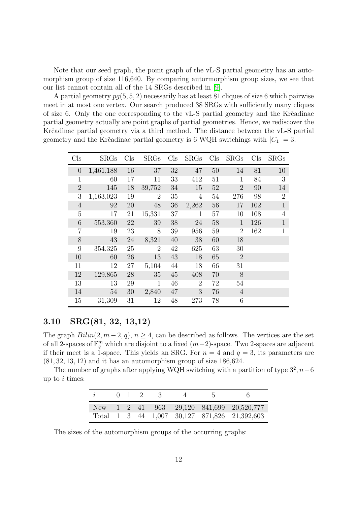Note that our seed graph, the point graph of the vL-S partial geometry has an automorphism group of size 116,640. By comparing autormorphism group sizes, we see that our list cannot contain all of the 14 SRGs described in [\[9\]](#page-16-10).

A partial geometry  $pq(5, 5, 2)$  necessarily has at least 81 cliques of size 6 which pairwise meet in at most one vertex. Our search produced 38 SRGs with sufficiently many cliques of size 6. Only the one corresponding to the vL-S partial geometry and the Krčadinac partial geometry actually are point graphs of partial geometries. Hence, we rediscover the Krčadinac partial geometry via a third method. The distance between the vL-S partial geometry and the Krčadinac partial geometry is 6 WQH switchings with  $|C_1| = 3$ .

| $\mathrm{Cls}$ | <b>SRGs</b> | Cls | <b>SRGs</b>    | Cls | <b>SRGs</b>    | Cls | SRGs           | Cls | <b>SRGs</b>    |
|----------------|-------------|-----|----------------|-----|----------------|-----|----------------|-----|----------------|
| $\overline{0}$ | 1,461,188   | 16  | 37             | 32  | 47             | 50  | 14             | 81  | 10             |
| $\mathbf{1}$   | 60          | 17  | 11             | 33  | 412            | 51  | 1              | 84  | 3              |
| $\overline{2}$ | 145         | 18  | 39,752         | 34  | 15             | 52  | $\overline{2}$ | 90  | 14             |
| 3              | 1,163,023   | 19  | $\overline{2}$ | 35  | 4              | 54  | 276            | 98  | $\overline{2}$ |
| $\overline{4}$ | 92          | 20  | 48             | 36  | 2,262          | 56  | 17             | 102 | $\mathbf{1}$   |
| $\overline{5}$ | 17          | 21  | 15,331         | 37  | 1              | 57  | 10             | 108 | 4              |
| 6              | 553,360     | 22  | 39             | 38  | 24             | 58  | 1              | 126 | $\mathbf{1}$   |
| $\overline{7}$ | 19          | 23  | 8              | 39  | 956            | 59  | $\overline{2}$ | 162 | $\mathbf{1}$   |
| 8              | 43          | 24  | 8,321          | 40  | 38             | 60  | 18             |     |                |
| 9              | 354,325     | 25  | $\overline{2}$ | 42  | 625            | 63  | 30             |     |                |
| 10             | 60          | 26  | 13             | 43  | 18             | 65  | $\overline{2}$ |     |                |
| 11             | 12          | 27  | 5,104          | 44  | 18             | 66  | 31             |     |                |
| 12             | 129,865     | 28  | 35             | 45  | 408            | 70  | 8              |     |                |
| 13             | 13          | 29  | $\mathbf{1}$   | 46  | $\overline{2}$ | 72  | 54             |     |                |
| 14             | 54          | 30  | 2,840          | 47  | 3              | 76  | $\overline{4}$ |     |                |
| 15             | 31,309      | 31  | 12             | 48  | 273            | 78  | 6              |     |                |

#### <span id="page-11-0"></span>3.10 SRG(81, 32, 13,12)

The graph  $Bilin(2, m-2, q), n \geq 4$ , can be described as follows. The vertices are the set of all 2-spaces of  $\mathbb{F}_q^m$  which are disjoint to a fixed  $(m-2)$ -space. Two 2-spaces are adjacent if their meet is a 1-space. This yields an SRG. For  $n = 4$  and  $q = 3$ , its parameters are  $(81, 32, 13, 12)$  and it has an automorphism group of size 186,624.

The number of graphs after applying WQH switching with a partition of type  $3^2$ ,  $n-6$ up to  $i$  times:

|  | $0 \t1 \t2$ | $\mathcal{A}$ | $\Delta$ |                                              |
|--|-------------|---------------|----------|----------------------------------------------|
|  |             |               |          | New 1 2 41 963 29,120 841,699 20,520,777     |
|  |             |               |          | Total 1 3 44 1,007 30,127 871,826 21,392,603 |

The sizes of the automorphism groups of the occurring graphs: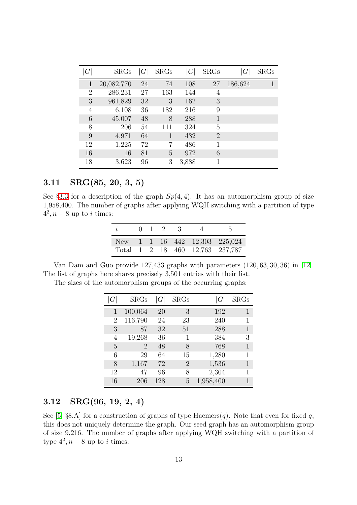| G              | <b>SRGs</b> | G  | <b>SRGs</b> | $\, G \,$ | <b>SRGs</b>    | G       | <b>SRGs</b> |
|----------------|-------------|----|-------------|-----------|----------------|---------|-------------|
| 1              | 20,082,770  | 24 | 74          | 108       | 27             | 186,624 | 1           |
| $\overline{2}$ | 286,231     | 27 | 163         | 144       | 4              |         |             |
| 3              | 961,829     | 32 | 3           | 162       | 3              |         |             |
| 4              | 6,108       | 36 | 182         | 216       | 9              |         |             |
| 6              | 45,007      | 48 | 8           | 288       | 1              |         |             |
| 8              | 206         | 54 | 111         | 324       | 5              |         |             |
| 9              | 4,971       | 64 | 1           | 432       | $\overline{2}$ |         |             |
| 12             | 1,225       | 72 | 7           | 486       | 1              |         |             |
| 16             | 16          | 81 | 5           | 972       | 6              |         |             |
| 18             | 3,623       | 96 | 3           | 3,888     | 1              |         |             |

#### 3.11 SRG(85, 20, 3, 5)

See §[3.3](#page-4-0) for a description of the graph  $Sp(4,4)$ . It has an automorphism group of size 1,958,400. The number of graphs after applying WQH switching with a partition of type  $4^2, n-8$  up to *i* times:

| $\hat{i}$ |  | $0 \quad 1 \quad 2$ | $\mathbb{R}^2$ |                                 |
|-----------|--|---------------------|----------------|---------------------------------|
|           |  |                     |                | New 1 1 16 442 12,303 225,024   |
|           |  |                     |                | Total 1 2 18 460 12,763 237,787 |

Van Dam and Guo provide 127,433 graphs with parameters (120, 63, 30, 36) in [\[12\]](#page-16-11). The list of graphs here shares precisely 3,501 entries with their list.

|  | The sizes of the automorphism groups of the occurring graphs: |  |  |
|--|---------------------------------------------------------------|--|--|
|  |                                                               |  |  |

| G              | SRGs    | $\,G\,$ | SRGs           |           | ${\rm SRGs}$ |
|----------------|---------|---------|----------------|-----------|--------------|
| $\overline{1}$ | 100,064 | 20      | 3              | 192       | 1            |
| 2              | 116,790 | 24      | 23             | 240       | 1            |
| 3              | 87      | 32      | 51             | 288       | 1            |
| 4              | 19,268  | 36      | 1              | 384       | 3            |
| 5              | 2       | 48      | 8              | 768       |              |
| 6              | 29      | 64      | 15             | 1,280     | 1            |
| 8              | 1,167   | 72      | $\overline{2}$ | 1,536     |              |
| 12             | 47      | 96      | 8              | 2,304     | 1            |
| 16             | 206     | 128     | 5              | 1,958,400 |              |

#### 3.12 SRG(96, 19, 2, 4)

See [\[5,](#page-16-12) §8.A] for a construction of graphs of type Haemers(q). Note that even for fixed q, this does not uniquely determine the graph. Our seed graph has an automorphism group of size 9,216. The number of graphs after applying WQH switching with a partition of type  $4^2$ ,  $n-8$  up to *i* times: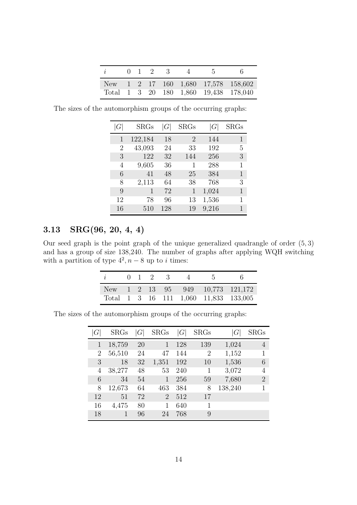| i |  | $0 \t1 \t2 \t3$ |  | $\Delta$ |                                       |
|---|--|-----------------|--|----------|---------------------------------------|
|   |  |                 |  |          | New 1 2 17 160 1,680 17,578 158,602   |
|   |  |                 |  |          | Total 1 3 20 180 1,860 19,438 178,040 |

The sizes of the automorphism groups of the occurring graphs:

| G  | ${\rm SRGs}$ | G   | $\rm SRGs$     |       | SRGs |
|----|--------------|-----|----------------|-------|------|
| 1  | 122,184      | 18  | $\overline{2}$ | 144   | 1    |
| 2  | 43,093       | 24  | 33             | 192   | 5    |
| 3  | 122          | 32  | 144            | 256   | 3    |
| 4  | 9,605        | 36  | 1              | 288   | 1    |
| 6  | 41           | 48  | 25             | 384   | 1    |
| 8  | 2,113        | 64  | 38             | 768   | 3    |
| 9  | 1            | 72  | 1              | 1,024 | 1    |
| 12 | 78           | 96  | 13             | 1,536 | 1    |
| 16 | 510          | 128 | 19             | 9,216 | 1    |

### 3.13 SRG(96, 20, 4, 4)

Our seed graph is the point graph of the unique generalized quadrangle of order (5, 3) and has a group of size 138,240. The number of graphs after applying WQH switching with a partition of type  $4^2$ ,  $n-8$  up to *i* times:

|               |  | $0 \quad 1 \quad 2 \quad 3$ |  | h |                                       |
|---------------|--|-----------------------------|--|---|---------------------------------------|
| New 1 2 13 95 |  |                             |  |   | 949 10,773 121,172                    |
|               |  |                             |  |   | Total 1 3 16 111 1,060 11,833 133,005 |

The sizes of the automorphism groups of the occurring graphs:

| $\,G$ | <b>SRGs</b> | G  | <b>SRGs</b>    | G   | <b>SRGs</b>    | G       | SRGs           |
|-------|-------------|----|----------------|-----|----------------|---------|----------------|
|       | 18,759      | 20 |                | 128 | 139            | 1,024   | 4              |
| 2     | 56,510      | 24 | 47             | 144 | $\overline{2}$ | 1,152   |                |
| 3     | 18          | 32 | 1,351          | 192 | 10             | 1,536   | 6              |
| 4     | 38,277      | 48 | 53             | 240 | 1              | 3,072   | 4              |
| 6     | 34          | 54 |                | 256 | 59             | 7,680   | $\overline{2}$ |
| 8     | 12,673      | 64 | 463            | 384 | 8              | 138,240 |                |
| 12    | 51          | 72 | $\overline{2}$ | 512 | 17             |         |                |
| 16    | 4,475       | 80 |                | 640 | 1              |         |                |
| 18    | 1           | 96 | 24             | 768 | 9              |         |                |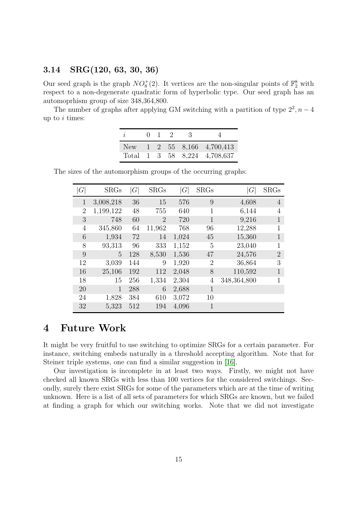#### 3.14 SRG(120, 63, 30, 36)

Our seed graph is the graph  $NO_8^+(2)$ . It vertices are the non-singular points of  $\mathbb{F}_2^8$  with respect to a non-degenerate quadratic form of hyperbolic type. Our seed graph has an automoprhism group of size 348,364,800.

The number of graphs after applying GM switching with a partition of type  $2^2$ ,  $n-4$ up to  $i$  times:

| $\boldsymbol{i}$ | $\mathbf{I}$ | $\mathcal{L}$ |                                              |
|------------------|--------------|---------------|----------------------------------------------|
| New \,           |              |               | $1\quad 2\quad 55\quad 8,166\quad 4,700,413$ |
| Total            |              |               | 1 3 58 8.224 4.708.637                       |

The sizes of the automorphism groups of the occurring graphs:

| G              | <b>SRGs</b> | G   | <b>SRGs</b>                 | G     | <b>SRGs</b>    | G           | <b>SRGs</b>    |
|----------------|-------------|-----|-----------------------------|-------|----------------|-------------|----------------|
| $\mathbf 1$    | 3,008,218   | 36  | 15                          | 576   | 9              | 4,608       | $\overline{4}$ |
| $\overline{2}$ | 1,199,122   | 48  | 755                         | 640   | 1              | 6,144       | 4              |
| 3              | 748         | 60  | $\mathcal{D}_{\mathcal{A}}$ | 720   | 1              | 9,216       | 1              |
| $\overline{4}$ | 345,860     | 64  | 11,962                      | 768   | 96             | 12,288      | 1              |
| 6              | 1,934       | 72  | 14                          | 1,024 | 45             | 15,360      | 1              |
| 8              | 93,313      | 96  | 333                         | 1,152 | 5              | 23,040      | 1              |
| 9              | 5           | 128 | 8,530                       | 1,536 | 47             | 24,576      | $\overline{2}$ |
| 12             | 3,039       | 144 | 9                           | 1,920 | $\overline{2}$ | 36,864      | 3              |
| 16             | 25,106      | 192 | 112                         | 2,048 | 8              | 110,592     | 1              |
| 18             | 15          | 256 | 1,334                       | 2,304 | 4              | 348,364,800 | 1              |
| 20             | 1           | 288 | 6                           | 2,688 | $\mathbf{1}$   |             |                |
| 24             | 1,828       | 384 | 610                         | 3,072 | 10             |             |                |
| 32             | 5,323       | 512 | 194                         | 4,096 | 1              |             |                |

### 4 Future Work

It might be very fruitful to use switching to optimize SRGs for a certain parameter. For instance, switching embeds naturally in a threshold accepting algorithm. Note that for Steiner triple systems, one can find a similar suggestion in [\[16\]](#page-17-9).

Our investigation is incomplete in at least two ways. Firstly, we might not have checked all known SRGs with less than 100 vertices for the considered switchings. Secondly, surely there exist SRGs for some of the parameters which are at the time of writing unknown. Here is a list of all sets of parameters for which SRGs are known, but we failed at finding a graph for which our switching works. Note that we did not investigate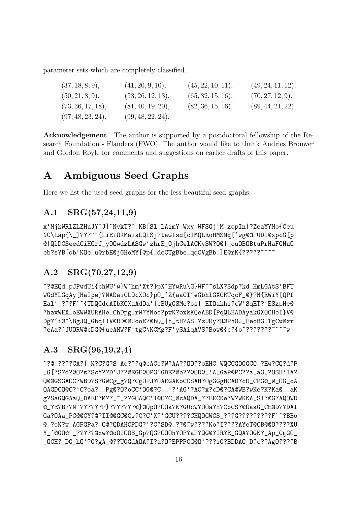parameter sets which are completely classified.

| (37, 18, 8, 9),   | (41, 20, 9, 10),  | (45, 22, 10, 11), | (49, 24, 11, 12), |
|-------------------|-------------------|-------------------|-------------------|
| (50, 21, 8, 9),   | (53, 26, 12, 13), | (65, 32, 15, 16), | (70, 27, 12, 9),  |
| (73, 36, 17, 18), | (81, 40, 19, 20), | (82, 36, 15, 16), | (89, 44, 21, 22)  |
| (97, 48, 23, 24), | (99, 48, 22, 24). |                   |                   |

Acknowledgement The author is supported by a postdoctoral fellowship of the Research Foundation - Flanders (FWO). The author would like to thank Andries Brouwer and Gordon Royle for comments and suggestions on earlier drafts of this paper.

# A Ambiguous Seed Graphs

Here we list the used seed graphs for the less beautiful seed graphs.

### A.1 SRG(57,24,11,9)

x'MjkWRlZLZHuJY^J]~NvkT?^\_KB[Sl\_LAimY\_Wxy\_WFSGj'M\_zopIn|?ZeaYYMo{Ceu NC\Lap{\\_]???^~{LiEiOKMaiaLQISj?taGIsd[cIMQLRoHMSMq['wg@@PUDl@xpcG[p @|QlDCSeedCiHOrJ\_yOOwdzLASGw'zhrE\_OjhCwlACKySW?Q@|[ouOBOBtuPrHaFGHuO eb?sYB[ob'KOe\_u@rbE@jGHoMY[@p{\_deCTgBbe\_qqCVgBb\_]E@rK{?????~~~~

### A.2 SRG(70,27,12,9)

~?@EQd\_pJPwdUi{chWU'w]W^hm'Xt?}pX^HYwRu\G}WF~~sLX?Sdp?kd\_HmLGAtS'BFT WGdYLGqAy[HaIpe]?NADaiCLQcXOc}pO\_'Z{aaCI^eGbhlGXCRTqcF\_@}?N{RWiY[QPf Eal'\_???F~~{TDQGdcAIbKCXaAdOa'[cBUgGSMe?ss[\_EIOakhi?cW'SqET?'ESzpHe@ ?havWEX\_oEWWXURAHe\_ChDpg\_rW?YNoo?pwK?oxkKQeABD[PqQLHADAyakGXOCHoI}V@ Dg?'i@^\BgJQ\_GbqIIV@RD@@UooE?@hQ\_|h\_tH?ASl?zUOy?R@PhOJ\_FeoBGITgCw@xr ?eAa?^JUORW@cDG@{ueAMW?F'tgC\KCMg?F'ySAiqAVS?Bow@{c?{o~???????~~~~w

### A.3 SRG(96,19,2,4)

~?@\_????CA?[\_K?C?G?S\_Ao???q@cACo?W?AA??OO??oEHC\_WQCCGOGGCO\_?Ew?CQ?d?P \_G[?S?d?@O?s?ScY??D'J??@EGE@OPG'GDE?@o??@OD@\_'A\_GaP@PC??a\_aG\_?OSH'IA? Q@@GSGAOC?WBD?S?GWCg\_g?Q?CgOPJ?OAEGAKoCCSAH?OgGGgHCAD?cO\_CPG@\_W\_OG\_oA OAGDCO@C?'C?oa?\_\_Pg@?O?oCC'OG@?C\_\_'?'AG'?AC?x?cD@?CA@WB?wKe?K?Ka@\_\_aK g?SaGQGAaQ\_DAEE?M??\_^\_??GOAQC'I@O?C\_@cAQDA\_??EECKe?W?WKKA\_SI?@G?AQOWD @\_?E?B??N~??????F}???????@}@QpO?OOa?K?GUcW?OOa?H?CoCS?@OaaG\_CE@D??DAI Ga?OAa\_PC@@CY?@?II@@GC@Cw?C?C'X?'GCU????CHQOGWCS\_???G?????????F~~?BBo @\_?oK?w\_AGPGPa?\_O@?QDAHCPDG?'?C?SD@\_??@~w????Ko?I????AYeT@CB@@O????XU Y\_'@GO@~\_?????@xw?@oOIOOB\_Gp?QG?OOOh?OF?aP?QG@?IR?E\_GQA?OGK?\_Ap\_CgGO\_ \_OCH?\_DG\_hO'?G?gA\_@??UGGdAOA?I?a?O?EPPPCG@O'???iG?BDDAO\_D?c??AgO????B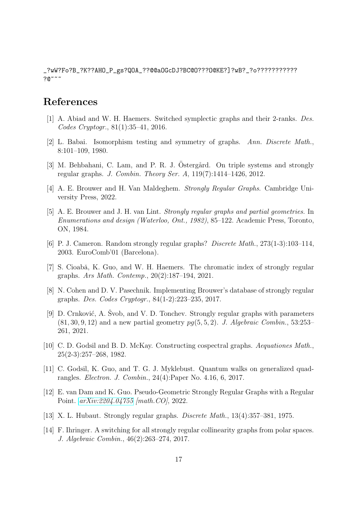\_?wW?Fo?B\_?K??AHO\_P\_gs?QOA\_??@@aOGcDJ?BC@O???O@KE?]?wB?\_?o???????????  $70~\degree$   $\degree$ 

## <span id="page-16-5"></span>References

- <span id="page-16-2"></span>[1] A. Abiad and W. H. Haemers. Switched symplectic graphs and their 2-ranks. Des. Codes Cryptogr., 81(1):35–41, 2016.
- <span id="page-16-7"></span>[2] L. Babai. Isomorphism testing and symmetry of graphs. Ann. Discrete Math., 8:101–109, 1980.
- <span id="page-16-1"></span>[3] M. Behbahani, C. Lam, and P. R. J. Ostergård. On triple systems and strongly regular graphs. J. Combin. Theory Ser. A, 119(7):1414–1426, 2012.
- <span id="page-16-12"></span>[4] A. E. Brouwer and H. Van Maldeghem. Strongly Regular Graphs. Cambridge University Press, 2022.
- [5] A. E. Brouwer and J. H. van Lint. Strongly regular graphs and partial geometries. In Enumerations and design (Waterloo, Ont., 1982), 85–122. Academic Press, Toronto, ON, 1984.
- [6] P. J. Cameron. Random strongly regular graphs? Discrete Math., 273(1-3):103–114, 2003. EuroComb'01 (Barcelona).
- <span id="page-16-9"></span>[7] S. Cioabǎ, K. Guo, and W. H. Haemers. The chromatic index of strongly regular graphs. Ars Math. Contemp., 20(2):187–194, 2021.
- <span id="page-16-8"></span>[8] N. Cohen and D. V. Pasechnik. Implementing Brouwer's database of strongly regular graphs. Des. Codes Cryptogr., 84(1-2):223–235, 2017.
- <span id="page-16-10"></span>[9] D. Crnković, A. Svob, and V. D. Tonchev. Strongly regular graphs with parameters  $(81, 30, 9, 12)$  and a new partial geometry  $pg(5, 5, 2)$ . J. Algebraic Combin., 53:253– 261, 2021.
- <span id="page-16-4"></span>[10] C. D. Godsil and B. D. McKay. Constructing cospectral graphs. Aequationes Math., 25(2-3):257–268, 1982.
- <span id="page-16-3"></span>[11] C. Godsil, K. Guo, and T. G. J. Myklebust. Quantum walks on generalized quadrangles. Electron. J. Combin., 24(4):Paper No. 4.16, 6, 2017.
- <span id="page-16-11"></span>[12] E. van Dam and K. Guo. Pseudo-Geometric Strongly Regular Graphs with a Regular Point. [arXiv:2204.04755](http://arxiv.org/abs/2204.04755) [math.CO], 2022.
- <span id="page-16-6"></span><span id="page-16-0"></span>[13] X. L. Hubaut. Strongly regular graphs. Discrete Math., 13(4):357–381, 1975.
- [14] F. Ihringer. A switching for all strongly regular collinearity graphs from polar spaces. J. Algebraic Combin., 46(2):263–274, 2017.